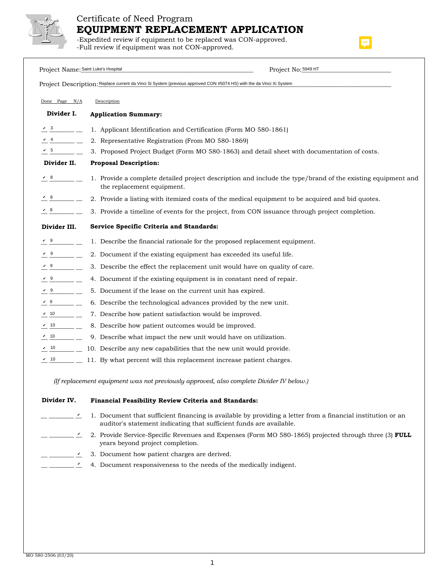

## Certificate of Need Program **EQUIPMENT REPLACEMENT APPLICATION**

-Expedited review if equipment to be replaced was CON-approved. -Full review if equipment was not CON-approved.

| Project Name: Saint Luke's Hospital                    | Project No: 5949 HT                                                                                                                       |
|--------------------------------------------------------|-------------------------------------------------------------------------------------------------------------------------------------------|
|                                                        | Project Description: Replace current da Vinci Si System (previous approved CON #5074 HS) with the da Vinci Xi System                      |
| Done Page $N/A$                                        | Description                                                                                                                               |
| Divider I.                                             | <b>Application Summary:</b>                                                                                                               |
|                                                        | 1. Applicant Identification and Certification (Form MO 580-1861)                                                                          |
|                                                        | 2. Representative Registration (From MO 580-1869)                                                                                         |
| $\sqrt{5}$ $\qquad$                                    | 3. Proposed Project Budget (Form MO 580-1863) and detail sheet with documentation of costs.                                               |
| Divider II.                                            | <b>Proposal Description:</b>                                                                                                              |
| $\sqrt{8}$                                             | 1. Provide a complete detailed project description and include the type/brand of the existing equipment and<br>the replacement equipment. |
| $\sqrt{8}$<br><u> 1999 - 1999</u>                      | 2. Provide a listing with itemized costs of the medical equipment to be acquired and bid quotes.                                          |
| $\begin{array}{c} \left\arrow 8 \\ \hline \end{array}$ | 3. Provide a timeline of events for the project, from CON issuance through project completion.                                            |
| Divider III.                                           | Service Specific Criteria and Standards:                                                                                                  |
| V9                                                     | 1. Describe the financial rationale for the proposed replacement equipment.                                                               |
| $\frac{v}{v}$ 9                                        | 2. Document if the existing equipment has exceeded its useful life.                                                                       |
| $\frac{9}{2}$ - $\frac{9}{2}$                          | 3. Describe the effect the replacement unit would have on quality of care.                                                                |
|                                                        | 4. Document if the existing equipment is in constant need of repair.                                                                      |
|                                                        | 5. Document if the lease on the current unit has expired.                                                                                 |
|                                                        | 6. Describe the technological advances provided by the new unit.                                                                          |
| $\sqrt{10}$                                            | 7. Describe how patient satisfaction would be improved.                                                                                   |
| $V$ 10<br>$\sim$ $\sim$ $\sim$                         | 8. Describe how patient outcomes would be improved.                                                                                       |
|                                                        | 9. Describe what impact the new unit would have on utilization.                                                                           |
| $\sqrt{10}$                                            | 10. Describe any new capabilities that the new unit would provide.                                                                        |
|                                                        |                                                                                                                                           |

*(If replacement equipment was not previously approved, also complete Divider IV below.)*

#### **Divider IV. Financial Feasibility Review Criteria and Standards:**

- $\_$   $\_$   $\_$   $\_$   $\_$   $\_$  1. Document that sufficient financing is available by providing a letter from a financial institution or an auditor's statement indicating that sufficient funds are available.
- $\frac{v}{-}$ 2. Provide Service-Specific Revenues and Expenses (Form MO 580-1865) projected through three (3) **FULL** years beyond project completion.
- 3. Document how patient charges are derived.  $\frac{v}{-}$
- 4. Document responsiveness to the needs of the medically indigent.  $\frac{v}{-}$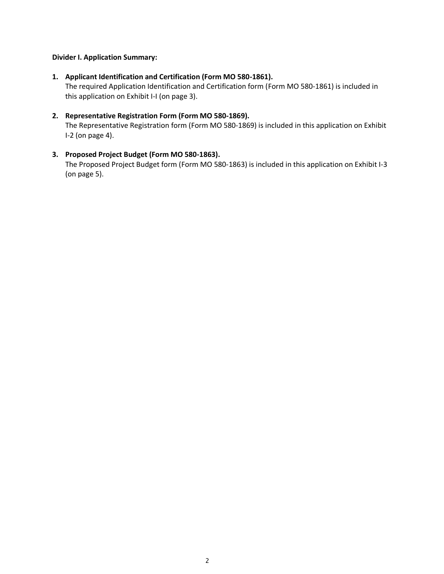## **Divider I. Application Summary:**

## **1. Applicant Identification and Certification (Form MO 580-1861).**

The required Application Identification and Certification form (Form MO 580-1861) is included in this application on Exhibit I-I (on page 3).

## **2. Representative Registration Form (Form MO 580-1869).**

The Representative Registration form (Form MO 580-1869) is included in this application on Exhibit I-2 (on page 4).

## **3. Proposed Project Budget (Form MO 580-1863).**

The Proposed Project Budget form (Form MO 580-1863) is included in this application on Exhibit I-3 (on page 5).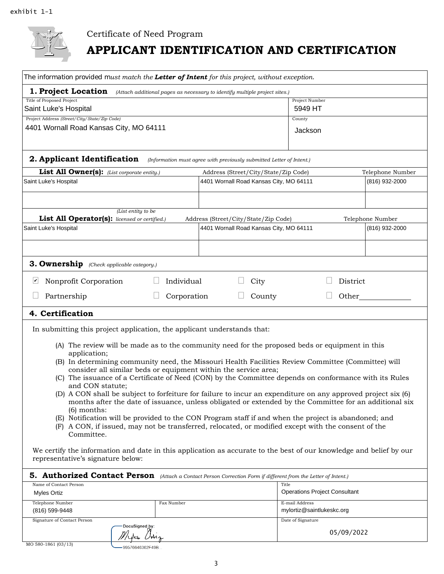

# Certificate of Need Program **APPLICANT IDENTIFICATION AND CERTIFICATION**

| The information provided must match the Letter of Intent for this project, without exception.                                                                             |                                                                            |                                             |                  |  |
|---------------------------------------------------------------------------------------------------------------------------------------------------------------------------|----------------------------------------------------------------------------|---------------------------------------------|------------------|--|
| 1. Project Location                                                                                                                                                       | (Attach additional pages as necessary to identify multiple project sites.) |                                             |                  |  |
| Title of Proposed Project<br>Saint Luke's Hospital                                                                                                                        | Project Number<br>5949 HT                                                  |                                             |                  |  |
| Project Address (Street/City/State/Zip Code)<br>4401 Wornall Road Kansas City, MO 64111                                                                                   |                                                                            | County                                      |                  |  |
|                                                                                                                                                                           |                                                                            | Jackson                                     |                  |  |
| 2. Applicant Identification                                                                                                                                               | (Information must agree with previously submitted Letter of Intent.)       |                                             |                  |  |
| List All Owner(s): (List corporate entity.)                                                                                                                               | Address (Street/City/State/Zip Code)                                       |                                             | Telephone Number |  |
| Saint Luke's Hospital                                                                                                                                                     | 4401 Wornall Road Kansas City, MO 64111                                    |                                             | (816) 932-2000   |  |
|                                                                                                                                                                           |                                                                            |                                             |                  |  |
| (List entity to be<br>List All Operator(s): licensed or certified.)                                                                                                       | Address (Street/City/State/Zip Code)                                       |                                             | Telephone Number |  |
| Saint Luke's Hospital                                                                                                                                                     | 4401 Wornall Road Kansas City, MO 64111                                    |                                             | (816) 932-2000   |  |
|                                                                                                                                                                           |                                                                            |                                             |                  |  |
| 3. Ownership (Check applicable category.)                                                                                                                                 |                                                                            |                                             |                  |  |
| Nonprofit Corporation<br>Individual<br>⊻                                                                                                                                  | City                                                                       | District                                    |                  |  |
| Partnership<br>Corporation                                                                                                                                                | County                                                                     | Other                                       |                  |  |
| 4. Certification                                                                                                                                                          |                                                                            |                                             |                  |  |
| In submitting this project application, the applicant understands that:                                                                                                   |                                                                            |                                             |                  |  |
| (A) The review will be made as to the community need for the proposed beds or equipment in this<br>application;                                                           |                                                                            |                                             |                  |  |
| (B) In determining community need, the Missouri Health Facilities Review Committee (Committee) will                                                                       |                                                                            |                                             |                  |  |
| consider all similar beds or equipment within the service area;<br>(C) The issuance of a Certificate of Need (CON) by the Committee depends on conformance with its Rules |                                                                            |                                             |                  |  |
| and CON statute;<br>(D) A CON shall be subject to forfeiture for failure to incur an expenditure on any approved project six (6)                                          |                                                                            |                                             |                  |  |
| months after the date of issuance, unless obligated or extended by the Committee for an additional six<br>$(6)$ months:                                                   |                                                                            |                                             |                  |  |
| (E) Notification will be provided to the CON Program staff if and when the project is abandoned; and                                                                      |                                                                            |                                             |                  |  |
| (F) A CON, if issued, may not be transferred, relocated, or modified except with the consent of the<br>Committee.                                                         |                                                                            |                                             |                  |  |
| We certify the information and date in this application as accurate to the best of our knowledge and belief by our<br>representative's signature below:                   |                                                                            |                                             |                  |  |
| 5. Authorized Contact Person (Attach a Contact Person Correction Form if different from the Letter of Intent.)                                                            |                                                                            |                                             |                  |  |
| Name of Contact Person<br><b>Myles Ortiz</b>                                                                                                                              | Title                                                                      | <b>Operations Project Consultant</b>        |                  |  |
| Telephone Number<br>Fax Number<br>(816) 599-9448                                                                                                                          |                                                                            | E-mail Address<br>mylortiz@saintlukeskc.org |                  |  |
| Signature of Contact Person                                                                                                                                               |                                                                            | Date of Signature                           |                  |  |
| DocuSigned by:<br>$M_{1}$                                                                                                                                                 |                                                                            | 05/09/2022                                  |                  |  |

| MO 580-1861 (03/13) |  |
|---------------------|--|

99576646362F49B...

 $\n *U*$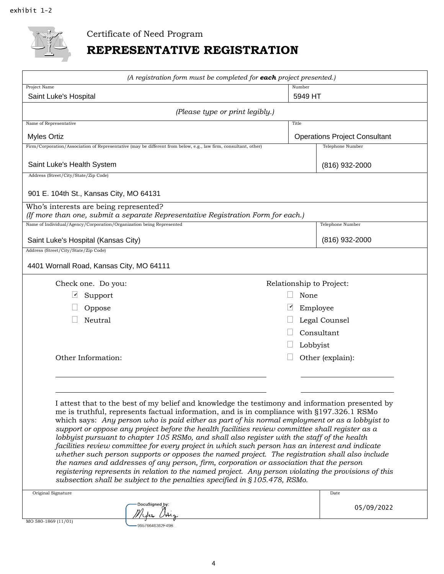

Certificate of Need Program

## **REPRESENTATIVE REGISTRATION**

| (A registration form must be completed for each project presented.)                                                                                                                                                                                                                                                                                                                                                                                                                                                                                                                                                                                                                                                                                                                                                                                                                                                                                                                                                 |                |                                      |  |  |
|---------------------------------------------------------------------------------------------------------------------------------------------------------------------------------------------------------------------------------------------------------------------------------------------------------------------------------------------------------------------------------------------------------------------------------------------------------------------------------------------------------------------------------------------------------------------------------------------------------------------------------------------------------------------------------------------------------------------------------------------------------------------------------------------------------------------------------------------------------------------------------------------------------------------------------------------------------------------------------------------------------------------|----------------|--------------------------------------|--|--|
| Project Name<br>Saint Luke's Hospital                                                                                                                                                                                                                                                                                                                                                                                                                                                                                                                                                                                                                                                                                                                                                                                                                                                                                                                                                                               | Number         | 5949 HT                              |  |  |
| (Please type or print legibly.)                                                                                                                                                                                                                                                                                                                                                                                                                                                                                                                                                                                                                                                                                                                                                                                                                                                                                                                                                                                     |                |                                      |  |  |
| Name of Representative                                                                                                                                                                                                                                                                                                                                                                                                                                                                                                                                                                                                                                                                                                                                                                                                                                                                                                                                                                                              | Title          |                                      |  |  |
| <b>Myles Ortiz</b>                                                                                                                                                                                                                                                                                                                                                                                                                                                                                                                                                                                                                                                                                                                                                                                                                                                                                                                                                                                                  |                | <b>Operations Project Consultant</b> |  |  |
| Firm/Corporation/Association of Representative (may be different from below, e.g., law firm, consultant, other)                                                                                                                                                                                                                                                                                                                                                                                                                                                                                                                                                                                                                                                                                                                                                                                                                                                                                                     |                | Telephone Number                     |  |  |
| Saint Luke's Health System                                                                                                                                                                                                                                                                                                                                                                                                                                                                                                                                                                                                                                                                                                                                                                                                                                                                                                                                                                                          | (816) 932-2000 |                                      |  |  |
| Address (Street/City/State/Zip Code)                                                                                                                                                                                                                                                                                                                                                                                                                                                                                                                                                                                                                                                                                                                                                                                                                                                                                                                                                                                |                |                                      |  |  |
| 901 E. 104th St., Kansas City, MO 64131                                                                                                                                                                                                                                                                                                                                                                                                                                                                                                                                                                                                                                                                                                                                                                                                                                                                                                                                                                             |                |                                      |  |  |
| Who's interests are being represented?<br>(If more than one, submit a separate Representative Registration Form for each.)                                                                                                                                                                                                                                                                                                                                                                                                                                                                                                                                                                                                                                                                                                                                                                                                                                                                                          |                |                                      |  |  |
| Name of Individual/Agency/Corporation/Organization being Represented                                                                                                                                                                                                                                                                                                                                                                                                                                                                                                                                                                                                                                                                                                                                                                                                                                                                                                                                                |                | Telephone Number                     |  |  |
| Saint Luke's Hospital (Kansas City)                                                                                                                                                                                                                                                                                                                                                                                                                                                                                                                                                                                                                                                                                                                                                                                                                                                                                                                                                                                 |                | $(816)$ 932-2000                     |  |  |
| Address (Street/City/State/Zip Code)                                                                                                                                                                                                                                                                                                                                                                                                                                                                                                                                                                                                                                                                                                                                                                                                                                                                                                                                                                                |                |                                      |  |  |
| 4401 Wornall Road, Kansas City, MO 64111                                                                                                                                                                                                                                                                                                                                                                                                                                                                                                                                                                                                                                                                                                                                                                                                                                                                                                                                                                            |                |                                      |  |  |
| Check one. Do you:                                                                                                                                                                                                                                                                                                                                                                                                                                                                                                                                                                                                                                                                                                                                                                                                                                                                                                                                                                                                  |                | Relationship to Project:             |  |  |
| Support                                                                                                                                                                                                                                                                                                                                                                                                                                                                                                                                                                                                                                                                                                                                                                                                                                                                                                                                                                                                             | None           |                                      |  |  |
| Oppose                                                                                                                                                                                                                                                                                                                                                                                                                                                                                                                                                                                                                                                                                                                                                                                                                                                                                                                                                                                                              | ∽              | Employee                             |  |  |
| Neutral                                                                                                                                                                                                                                                                                                                                                                                                                                                                                                                                                                                                                                                                                                                                                                                                                                                                                                                                                                                                             |                | Legal Counsel                        |  |  |
|                                                                                                                                                                                                                                                                                                                                                                                                                                                                                                                                                                                                                                                                                                                                                                                                                                                                                                                                                                                                                     |                | Consultant                           |  |  |
|                                                                                                                                                                                                                                                                                                                                                                                                                                                                                                                                                                                                                                                                                                                                                                                                                                                                                                                                                                                                                     | Lobbyist       |                                      |  |  |
| Other Information:                                                                                                                                                                                                                                                                                                                                                                                                                                                                                                                                                                                                                                                                                                                                                                                                                                                                                                                                                                                                  |                | Other (explain):                     |  |  |
|                                                                                                                                                                                                                                                                                                                                                                                                                                                                                                                                                                                                                                                                                                                                                                                                                                                                                                                                                                                                                     |                |                                      |  |  |
|                                                                                                                                                                                                                                                                                                                                                                                                                                                                                                                                                                                                                                                                                                                                                                                                                                                                                                                                                                                                                     |                |                                      |  |  |
| I attest that to the best of my belief and knowledge the testimony and information presented by<br>me is truthful, represents factual information, and is in compliance with §197.326.1 RSMo<br>which says: Any person who is paid either as part of his normal employment or as a lobbyist to<br>support or oppose any project before the health facilities review committee shall register as a<br>lobbyist pursuant to chapter 105 RSMo, and shall also register with the staff of the health<br>facilities review committee for every project in which such person has an interest and indicate<br>whether such person supports or opposes the named project. The registration shall also include<br>the names and addresses of any person, firm, corporation or association that the person<br>registering represents in relation to the named project. Any person violating the provisions of this<br>subsection shall be subject to the penalties specified in §105.478, RSMo.<br>Original Signature<br>Date |                |                                      |  |  |
| DocuSigned by:                                                                                                                                                                                                                                                                                                                                                                                                                                                                                                                                                                                                                                                                                                                                                                                                                                                                                                                                                                                                      |                | 05/09/2022                           |  |  |
|                                                                                                                                                                                                                                                                                                                                                                                                                                                                                                                                                                                                                                                                                                                                                                                                                                                                                                                                                                                                                     |                |                                      |  |  |
| MO 580-1869 (11/01)<br>99576646362F49B                                                                                                                                                                                                                                                                                                                                                                                                                                                                                                                                                                                                                                                                                                                                                                                                                                                                                                                                                                              |                |                                      |  |  |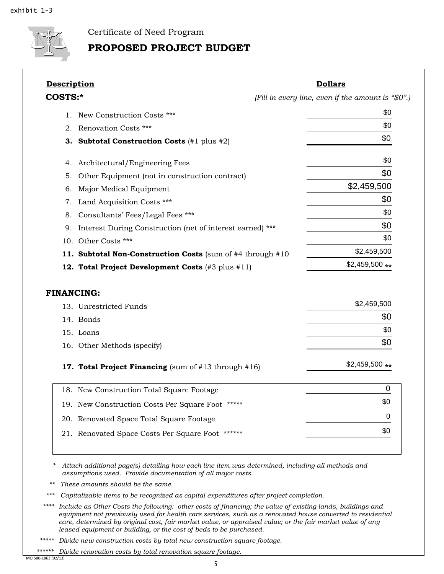

Certificate of Need Program

## **PROPOSED PROJECT BUDGET**

|         | <b>Description</b>                                           | <b>Dollars</b>                                     |
|---------|--------------------------------------------------------------|----------------------------------------------------|
| COSTS:* |                                                              | (Fill in every line, even if the amount is "\$0".) |
| 1.      | New Construction Costs ***                                   | \$0                                                |
| 2.      | Renovation Costs ***                                         | \$0                                                |
| З.      | <b>Subtotal Construction Costs</b> $(\#1 \text{ plus } \#2)$ | \$0                                                |
| 4.      | Architectural/Engineering Fees                               | \$0                                                |
| 5.      | Other Equipment (not in construction contract)               | \$0                                                |
| 6.      | Major Medical Equipment                                      | \$2,459,500                                        |
| 7.      | Land Acquisition Costs ***                                   | \$0                                                |
| 8.      | Consultants' Fees/Legal Fees ***                             | \$0                                                |
| 9.      | Interest During Construction (net of interest earned) ***    | \$0                                                |
|         | 10. Other Costs ***                                          | \$0                                                |
|         | 11. Subtotal Non-Construction Costs (sum of #4 through #10   | \$2,459,500                                        |
|         | 12. Total Project Development Costs (#3 plus #11)            | $$2,459,500**$                                     |
|         |                                                              |                                                    |
|         | <b>FINANCING:</b>                                            |                                                    |
|         | 13. Unrestricted Funds                                       | \$2,459,500                                        |
|         | 14. Bonds                                                    |                                                    |
|         | 15. Loans                                                    |                                                    |
|         | 16. Other Methods (specify)                                  | \$0<br>\$0<br>\$0                                  |
|         | 17. Total Project Financing (sum of #13 through #16)         |                                                    |
|         | 18. New Construction Total Square Footage                    | 0                                                  |
|         | 19. New Construction Costs Per Square Foot *****             | $$2,459,500**$<br>\$0                              |
|         | 20. Renovated Space Total Square Footage                     | 0                                                  |

*\* Attach additional page(s) detailing how each line item was determined, including all methods and assumptions used. Provide documentation of all major costs.* 

*\*\* These amounts should be the same.* 

*\*\*\* Capitalizable items to be recognized as capital expenditures after project completion.* 

*\*\*\*\* Include as Other Costs the following: other costs of financing; the value of existing lands, buildings and equipment not previously used for health care services, such as a renovated house converted to residential care, determined by original cost, fair market value, or appraised value; or the fair market value of any leased equipment or building, or the cost of beds to be purchased.* 

*\*\*\*\*\* Divide new construction costs by total new construction square footage.* 

*\*\*\*\*\*\* Divide renovation costs by total renovation square footage.* 

MO 580‐1863 (02/13)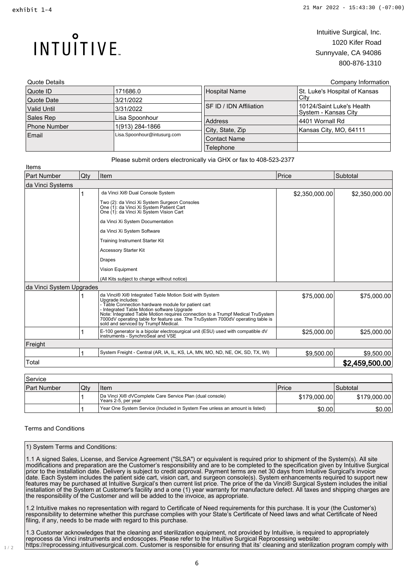INTUITIVE.

## Intuitive Surgical, Inc. 1020 Kifer Road Sunnyvale, CA 94086 800-876-1310

| Quote Details       |                             |                                | Company Information                                |
|---------------------|-----------------------------|--------------------------------|----------------------------------------------------|
| Quote ID            | 171686.0                    | Hospital Name                  | St. Luke's Hospital of Kansas                      |
| Quote Date          | 3/21/2022                   |                                | Citv                                               |
| <b>Valid Until</b>  | 3/31/2022                   | <b>SF ID / IDN Affiliation</b> | 10124/Saint Luke's Health<br>ISystem - Kansas City |
| Sales Rep           | Lisa Spoonhour              | Address                        | 14401 Wornall Rd                                   |
| <b>Phone Number</b> | 1(913) 284-1866             | City, State, Zip               | Kansas City, MO, 64111                             |
| Email               | Lisa.Spoonhour@intusurg.com |                                |                                                    |
|                     |                             | <b>Contact Name</b>            |                                                    |
|                     |                             | Telephone                      |                                                    |

| Items                    |     |                                                                                                                                                                                                                                                                                                                                                                                                |                |                |
|--------------------------|-----|------------------------------------------------------------------------------------------------------------------------------------------------------------------------------------------------------------------------------------------------------------------------------------------------------------------------------------------------------------------------------------------------|----------------|----------------|
| <b>Part Number</b>       | Qty | Item                                                                                                                                                                                                                                                                                                                                                                                           | Price          | Subtotal       |
| da Vinci Systems         |     |                                                                                                                                                                                                                                                                                                                                                                                                |                |                |
|                          |     | da Vinci Xi® Dual Console System                                                                                                                                                                                                                                                                                                                                                               | \$2,350,000.00 | \$2,350,000.00 |
|                          |     | Two (2): da Vinci Xi System Surgeon Consoles<br>One (1): da Vinci Xi System Patient Cart<br>One (1): da Vinci Xi System Vision Cart                                                                                                                                                                                                                                                            |                |                |
|                          |     | da Vinci Xi System Documentation                                                                                                                                                                                                                                                                                                                                                               |                |                |
|                          |     | da Vinci Xi System Software                                                                                                                                                                                                                                                                                                                                                                    |                |                |
|                          |     | <b>Training Instrument Starter Kit</b>                                                                                                                                                                                                                                                                                                                                                         |                |                |
|                          |     | Accessory Starter Kit                                                                                                                                                                                                                                                                                                                                                                          |                |                |
|                          |     | <b>Drapes</b>                                                                                                                                                                                                                                                                                                                                                                                  |                |                |
|                          |     | Vision Equipment                                                                                                                                                                                                                                                                                                                                                                               |                |                |
|                          |     | (All Kits subject to change without notice)                                                                                                                                                                                                                                                                                                                                                    |                |                |
| da Vinci System Upgrades |     |                                                                                                                                                                                                                                                                                                                                                                                                |                |                |
|                          |     | da Vinci® Xi® Integrated Table Motion Sold with System<br>Upgrade includes:<br>- Table Connection hardware module for patient cart<br>- Integrated Table Motion software Upgrade<br>Note: Integrated Table Motion requires connection to a Trumpf Medical TruSystem<br>7000dV operating table for feature use. The TruSystem 7000dV operating table is<br>sold and serviced by Trumpf Medical. | \$75,000.00    | \$75,000.00    |
|                          |     | E-100 generator is a bipolar electrosurgical unit (ESU) used with compatible dV<br>instruments - SynchroSeal and VSE                                                                                                                                                                                                                                                                           | \$25,000.00    | \$25,000.00    |
| Freight                  |     |                                                                                                                                                                                                                                                                                                                                                                                                |                |                |
|                          |     | System Freight - Central (AR, IA, IL, KS, LA, MN, MO, ND, NE, OK, SD, TX, WI)                                                                                                                                                                                                                                                                                                                  | \$9.500.00     | \$9,500.00     |
| Total                    |     |                                                                                                                                                                                                                                                                                                                                                                                                |                | \$2,459,500.00 |
|                          |     |                                                                                                                                                                                                                                                                                                                                                                                                |                |                |

| <b>Service</b>     |     |                                                                                 |              |                 |
|--------------------|-----|---------------------------------------------------------------------------------|--------------|-----------------|
| <b>Part Number</b> | Qty | Item                                                                            | Price        | <b>Subtotal</b> |
|                    |     | Da Vinci Xi® dVComplete Care Service Plan (dual console)<br>Years 2-5, per year | \$179,000.00 | \$179,000.00    |
|                    |     | Year One System Service (Included in System Fee unless an amount is listed)     | \$0.00       | \$0.00          |

## Terms and Conditions

 $1/2$ 

## 1) System Terms and Conditions:

1.1 A signed Sales, License, and Service Agreement ("SLSA") or equivalent is required prior to shipment of the System(s). All site modifications and preparation are the Customer's responsibility and are to be completed to the specification given by Intuitive Surgical prior to the installation date. Delivery is subject to credit approval. Payment terms are net 30 days from Intuitive Surgical's invoice date. Each System includes the patient side cart, vision cart, and surgeon console(s). System enhancements required to support new features may be purchased at Intuitive Surgical's then current list price. The price of the da Vinci® Surgical System includes the initial installation of the System at Customer's facility and a one (1) year warranty for manufacture defect. All taxes and shipping charges are the responsibility of the Customer and will be added to the invoice, as appropriate.

1.2 Intuitive makes no representation with regard to Certificate of Need requirements for this purchase. It is your (the Customer's) responsibility to determine whether this purchase complies with your State's Certificate of Need laws and what Certificate of Need filing, if any, needs to be made with regard to this purchase.

1.3 Customer acknowledges that the cleaning and sterilization equipment, not provided by Intuitive, is required to appropriately reprocess da Vinci instruments and endoscopes. Please refer to the Intuitive Surgical Reprocessing website: https://reprocessing.intuitivesurgical.com. Customer is responsible for ensuring that its' cleaning and sterilization program comply with

#### Please submit orders electronically via GHX or fax to 408-523-2377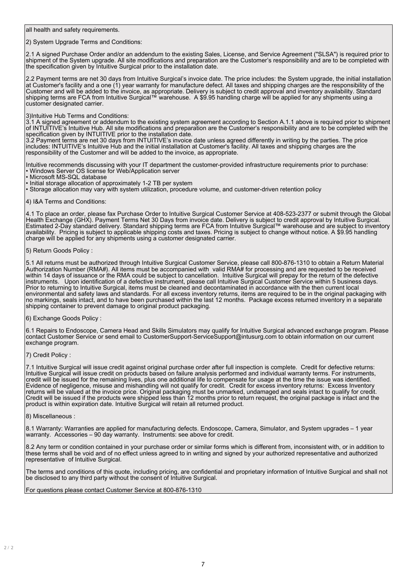all health and safety requirements.

#### 2) System Upgrade Terms and Conditions:

2.1 A signed Purchase Order and/or an addendum to the existing Sales, License, and Service Agreement ("SLSA") is required prior to shipment of the System upgrade. All site modifications and preparation are the Customer's responsibility and are to be completed with the specification given by Intuitive Surgical prior to the installation date.

2.2 Payment terms are net 30 days from Intuitive Surgical's invoice date. The price includes: the System upgrade, the initial installation at Customer's facility and a one (1) year warranty for manufacture defect. All taxes and shipping charges are the responsibility of the Customer and will be added to the invoice, as appropriate. Delivery is subject to credit approval and inventory availability. Standard shipping terms are FCA from Intuitive Surgical™ warehouse. A \$9.95 handling charge will be applied for any shipments using a customer designated carrier.

#### 3)Intuitive Hub Terms and Conditions:

3.1 A signed agreement or addendum to the existing system agreement according to Section A.1.1 above is required prior to shipment of INTUITIVE's Intuitive Hub. All site modifications and preparation are the Customer's responsibility and are to be completed with the specification given by INTUITIVE prior to the installation date.

3.2 Payment terms are net 30 days from INTUITIVE's invoice date unless agreed differently in writing by the parties. The price includes: INTUITIVE's Intuitive Hub and the initial installation at Customer's facility. All taxes and shipping charges are the responsibility of the Customer and will be added to the invoice, as appropriate.

Intuitive recommends discussing with your IT department the customer-provided infrastructure requirements prior to purchase: • Windows Server OS license for Web/Application server

- Microsoft MS-SQL database
- Initial storage allocation of approximately 1-2 TB per system
- Storage allocation may vary with system utilization, procedure volume, and customer-driven retention policy

#### 4) I&A Terms and Conditions:

4.1 To place an order, please fax Purchase Order to Intuitive Surgical Customer Service at 408-523-2377 or submit through the Global Health Exchange (GHX). Payment Terms Net 30 Days from invoice date. Delivery is subject to credit approval by Intuitive Surgical. Estimated 2-Day standard delivery. Standard shipping terms are FCA from Intuitive Surgical™ warehouse and are subject to inventory availability. Pricing is subject to applicable shipping costs and taxes. Pricing is subject to change without notice. A \$9.95 handling charge will be applied for any shipments using a customer designated carrier.

#### 5) Return Goods Policy :

5.1 All returns must be authorized through Intuitive Surgical Customer Service, please call 800-876-1310 to obtain a Return Material Authorization Number (RMA#). All items must be accompanied with valid RMA# for processing and are requested to be received within 14 days of issuance or the RMA could be subject to cancellation. Intuitive Surgical will prepay for the return of the defective instruments. Upon identification of a defective instrument, please call Intuitive Surgical Customer Service within 5 business days. Prior to returning to Intuitive Surgical, items must be cleaned and decontaminated in accordance with the then current local environmental and safety laws and standards. For all excess inventory returns, items are required to be in the original packaging with no markings, seals intact, and to have been purchased within the last 12 months. Package excess returned inventory in a separate shipping container to prevent damage to original product packaging.

#### 6) Exchange Goods Policy :

6.1 Repairs to Endoscope, Camera Head and Skills Simulators may qualify for Intuitive Surgical advanced exchange program. Please contact Customer Service or send email to CustomerSupport-ServiceSupport@intusurg.com to obtain information on our current exchange program.

#### 7) Credit Policy :

7.1 Intuitive Surgical will issue credit against original purchase order after full inspection is complete. Credit for defective returns: Intuitive Surgical will issue credit on products based on failure analysis performed and individual warranty terms. For instruments, credit will be issued for the remaining lives, plus one additional life to compensate for usage at the time the issue was identified. Evidence of negligence, misuse and mishandling will not qualify for credit. Credit for excess inventory returns: Excess Inventory returns will be valued at the invoice price. Original packaging must be unmarked, undamaged and seals intact to qualify for credit. Credit will be issued if the products were shipped less than 12 months prior to return request, the original package is intact and the product is within expiration date. Intuitive Surgical will retain all returned product.

#### 8) Miscellaneous :

8.1 Warranty: Warranties are applied for manufacturing defects. Endoscope, Camera, Simulator, and System upgrades – 1 year warranty. Accessories – 90 day warranty. Instruments: see above for credit.

8.2 Any term or condition contained in your purchase order or similar forms which is different from, inconsistent with, or in addition to these terms shall be void and of no effect unless agreed to in writing and signed by your authorized representative and authorized representative of Intuitive Surgical.

The terms and conditions of this quote, including pricing, are confidential and proprietary information of Intuitive Surgical and shall not be disclosed to any third party without the consent of Intuitive Surgical.

For questions please contact Customer Service at 800-876-1310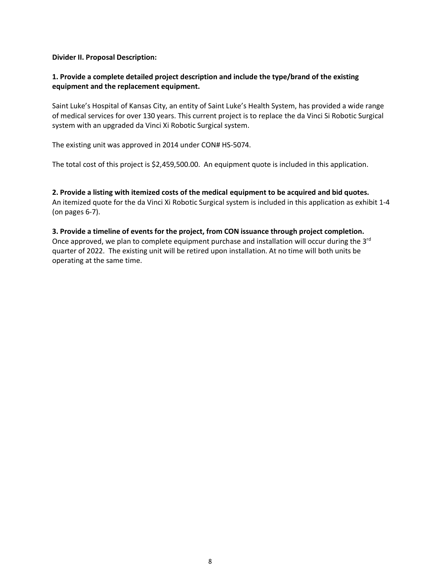**Divider II. Proposal Description:**

## **1. Provide a complete detailed project description and include the type/brand of the existing equipment and the replacement equipment.**

Saint Luke's Hospital of Kansas City, an entity of Saint Luke's Health System, has provided a wide range of medical services for over 130 years. This current project is to replace the da Vinci Si Robotic Surgical system with an upgraded da Vinci Xi Robotic Surgical system.

The existing unit was approved in 2014 under CON# HS-5074.

The total cost of this project is \$2,459,500.00. An equipment quote is included in this application.

**2. Provide a listing with itemized costs of the medical equipment to be acquired and bid quotes.** An itemized quote for the da Vinci Xi Robotic Surgical system is included in this application as exhibit 1-4 (on pages 6-7).

**3. Provide a timeline of events for the project, from CON issuance through project completion.** Once approved, we plan to complete equipment purchase and installation will occur during the 3<sup>rd</sup> quarter of 2022. The existing unit will be retired upon installation. At no time will both units be operating at the same time.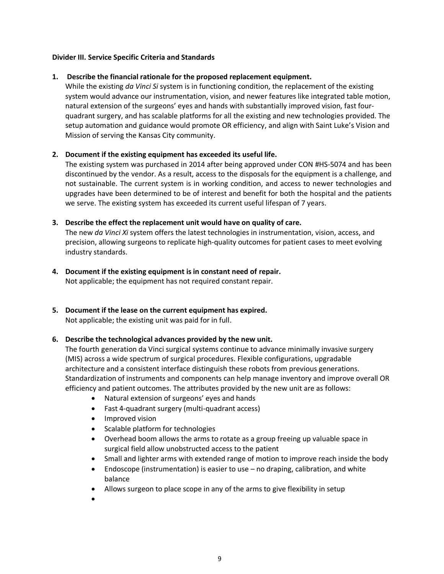## **Divider III. Service Specific Criteria and Standards**

## **1. Describe the financial rationale for the proposed replacement equipment.**

While the existing *da Vinci Si* system is in functioning condition, the replacement of the existing system would advance our instrumentation, vision, and newer features like integrated table motion, natural extension of the surgeons' eyes and hands with substantially improved vision, fast fourquadrant surgery, and has scalable platforms for all the existing and new technologies provided. The setup automation and guidance would promote OR efficiency, and align with Saint Luke's Vision and Mission of serving the Kansas City community.

## **2. Document if the existing equipment has exceeded its useful life.**

The existing system was purchased in 2014 after being approved under CON #HS-5074 and has been discontinued by the vendor. As a result, access to the disposals for the equipment is a challenge, and not sustainable. The current system is in working condition, and access to newer technologies and upgrades have been determined to be of interest and benefit for both the hospital and the patients we serve. The existing system has exceeded its current useful lifespan of 7 years.

## **3. Describe the effect the replacement unit would have on quality of care.**

The new *da Vinci Xi* system offers the latest technologies in instrumentation, vision, access, and precision, allowing surgeons to replicate high-quality outcomes for patient cases to meet evolving industry standards.

**4. Document if the existing equipment is in constant need of repair.** Not applicable; the equipment has not required constant repair.

## **5. Document if the lease on the current equipment has expired.** Not applicable; the existing unit was paid for in full.

## **6. Describe the technological advances provided by the new unit.**

The fourth generation da Vinci surgical systems continue to advance minimally invasive surgery (MIS) across a wide spectrum of surgical procedures. Flexible configurations, upgradable architecture and a consistent interface distinguish these robots from previous generations. Standardization of instruments and components can help manage inventory and improve overall OR efficiency and patient outcomes. The attributes provided by the new unit are as follows:

- Natural extension of surgeons' eyes and hands
- Fast 4-quadrant surgery (multi-quadrant access)
- Improved vision
- Scalable platform for technologies
- Overhead boom allows the arms to rotate as a group freeing up valuable space in surgical field allow unobstructed access to the patient
- Small and lighter arms with extended range of motion to improve reach inside the body
- Endoscope (instrumentation) is easier to use no draping, calibration, and white balance
- Allows surgeon to place scope in any of the arms to give flexibility in setup
- •